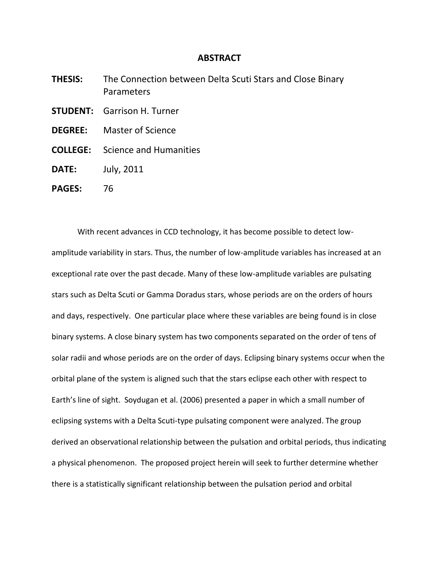## **ABSTRACT**

**THESIS:** The Connection between Delta Scuti Stars and Close Binary Parameters **STUDENT:** Garrison H. Turner **DEGREE:** Master of Science **COLLEGE:** Science and Humanities **DATE:** July, 2011 **PAGES:** 76

With recent advances in CCD technology, it has become possible to detect lowamplitude variability in stars. Thus, the number of low-amplitude variables has increased at an exceptional rate over the past decade. Many of these low-amplitude variables are pulsating stars such as Delta Scuti or Gamma Doradus stars, whose periods are on the orders of hours and days, respectively. One particular place where these variables are being found is in close binary systems. A close binary system has two components separated on the order of tens of solar radii and whose periods are on the order of days. Eclipsing binary systems occur when the orbital plane of the system is aligned such that the stars eclipse each other with respect to Earth's line of sight. Soydugan et al. (2006) presented a paper in which a small number of eclipsing systems with a Delta Scuti-type pulsating component were analyzed. The group derived an observational relationship between the pulsation and orbital periods, thus indicating a physical phenomenon. The proposed project herein will seek to further determine whether there is a statistically significant relationship between the pulsation period and orbital